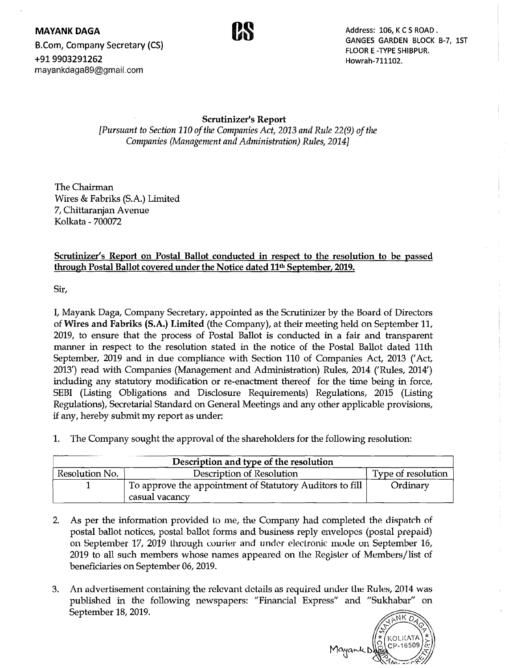**MAYANK DAGA**<br>**P** Company Secretary (CS) **Canal Company Secretary (CS)** GANGES GARDEN BLOCK GANGES GARDEN BLOCK B-7, 1ST B.Com, Company Secretary (CS) Example 10 COM COM E-TYPE SHIBPUR. *+91 9903291262* Howrah-711102. mayankdaga89@gmail,com



# Scrutinizer's Report

*[Pursuant to Section 110 of the Companies Act, 2013 and Rule 22(9) of the Companies (Management and Administration) Rules, 2014]* 

The Chairman Wires & Fabriks (S.A.) Limited 7, Chittaranjan Avenue Kolkata - 700072

Scrutinizer's Report on Postal Ballot conducted in respect to the resolution to be passed through Postal Ballot covered under the Notice dated 11th September, 2019.

Sir,

I, Mayank Daga, Company Secretary, appointed as the Scrutinizer by the Board of Directors of Wires and Fabriks (S.A.) Limited (the Company), at their meeting held on September 11, 2019, to ensure that the process of Postal Ballot is conducted in a fair and transparent manner in respect to the resolution stated in the notice of the Postal Ballot dated 11th September, 2019 and in due compliance with Section 110 of Companies Act, 2013 ('Act, 2013') read with Companies (Management and Administration) Rilles, 2014 ('Rules, 2014') including any statutory modification or re-enactment thereof for the time being in force, SEBI (Listing Obligations and Disclosure Requirements) Regulations, 2015 (Listing Regulations), Secretarial Standard on General Meetings and any other applicable provisions, if any, hereby submit my report as under:

1. The Company sought the approval of the shareholders for the following resolution:

| Description and type of the resolution |                                                                            |                    |  |  |
|----------------------------------------|----------------------------------------------------------------------------|--------------------|--|--|
| Resolution No.                         | Description of Resolution                                                  | Type of resolution |  |  |
|                                        | To approve the appointment of Statutory Auditors to fill<br>casual vacancy | Ordinary           |  |  |

- 2. As per the information provided to me, the Company had completed the dispatch of postal ballot notices, postal ballot forms and business reply envelopes (postal prepaid) on September 17, 2019 through courier and under electronic mode on September 16, 2019 to all such members whose names appeared on the Register of Members/list of beneficiaries on September 06, 2019.
- 3. An advertisement containing the relevant details as required under the Rules, 2014 was published in the following newspapers: "Financial Express" and "Sukhabar" on September 18, 2019.

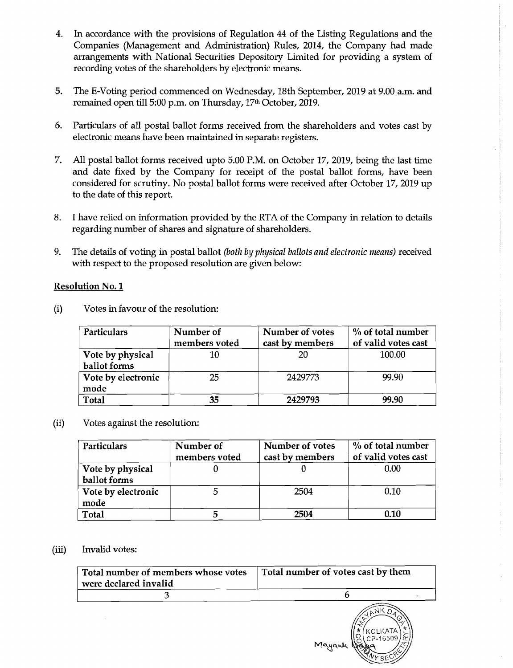- 4. In accordance with the provisions of Regulation 44 of the Listing Regulations and the Companies (Management and Administration) Rules, 2014, the Company had made arrangements with National Securities Depository Limited for providing a system of recording votes of the shareholders by electronic means.
- 5. The E-Voting period commenced on Wednesday, 18th September, 2019 at 9.00 a.m. and remained open till 5:00 p.m. on Thursday, 17<sup>th</sup> October, 2019.
- 6. Particulars of all postal ballot forms received from the shareholders and votes cast by electronic means have been maintained in separate registers.
- 7. All postal ballot forms received upto 5.00 P.M. on October 17, 2019, being the last time and date fixed by the Company for receipt of the postal ballot forms, have been considered for scrutiny. No postal ballot forms were received after October 17, 2019 up to the date of this report.
- 8. I have relied on information provided by the RTA of the Company in relation to details regarding number of shares and signature of shareholders.
- 9. The details of voting in postal ballot *(both by physical ballots and electronic means)* received with respect to the proposed resolution are given below:

#### Resolution No.1

| <b>Particulars</b>               | Number of<br>members voted | Number of votes<br>cast by members | % of total number<br>of valid votes cast |
|----------------------------------|----------------------------|------------------------------------|------------------------------------------|
| Vote by physical<br>ballot forms | 10                         | 20                                 | 100.00                                   |
| Vote by electronic<br>mode       | 25                         | 2429773                            | 99.90                                    |
| <b>Total</b>                     | 35                         | 2429793                            | 99.90                                    |

(i) Votes in favour of the resolution:

## (ii) Votes against the resolution:

| Particulars                      | Number of<br>members voted | <b>Number of votes</b><br>cast by members | % of total number<br>of valid votes cast |
|----------------------------------|----------------------------|-------------------------------------------|------------------------------------------|
| Vote by physical<br>ballot forms |                            |                                           | 0.00                                     |
| Vote by electronic<br>mode       |                            | 2504                                      | 0.10                                     |
| Total                            |                            | 2504                                      | 0.10                                     |

## (iii) Invalid votes:

| Total number of members whose votes<br>were declared invalid | Total number of votes cast by them  |  |  |
|--------------------------------------------------------------|-------------------------------------|--|--|
|                                                              |                                     |  |  |
|                                                              | <b>KOLKATA</b><br>CP-16509<br>Mayan |  |  |